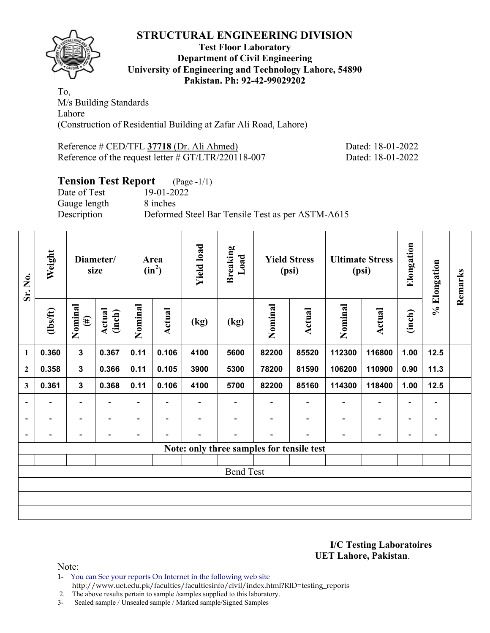

### **Test Floor Laboratory Department of Civil Engineering University of Engineering and Technology Lahore, 54890 Pakistan. Ph: 92-42-99029202**

To, M/s Building Standards Lahore (Construction of Residential Building at Zafar Ali Road, Lahore)

Reference # CED/TFL **37718** (Dr. Ali Ahmed) Dated: 18-01-2022 Reference of the request letter # GT/LTR/220118-007 Dated: 18-01-2022

## **Tension Test Report** (Page -1/1)

Gauge length 8 inches

Date of Test 19-01-2022 Description Deformed Steel Bar Tensile Test as per ASTM-A615

| Sr. No.      | Weight<br>Diameter/<br>size |                          |                  | Area<br>$(in^2)$         |                          | <b>Yield load</b> | <b>Breaking</b><br>Load | <b>Yield Stress</b><br>(psi)              |                | <b>Ultimate Stress</b><br>(psi) |                              | Elongation               | % Elongation                 | Remarks |
|--------------|-----------------------------|--------------------------|------------------|--------------------------|--------------------------|-------------------|-------------------------|-------------------------------------------|----------------|---------------------------------|------------------------------|--------------------------|------------------------------|---------|
|              | $\frac{2}{10}$              | Nominal<br>$(\#)$        | Actual<br>(inch) | Nominal                  | Actual                   | (kg)              | (kg)                    | Nominal                                   | Actual         | Nominal                         | Actual                       | (inch)                   |                              |         |
| $\mathbf{1}$ | 0.360                       | $\mathbf{3}$             | 0.367            | 0.11                     | 0.106                    | 4100              | 5600                    | 82200                                     | 85520          | 112300                          | 116800                       | 1.00                     | $12.5$                       |         |
| $\mathbf{2}$ | 0.358                       | $\mathbf{3}$             | 0.366            | 0.11                     | 0.105                    | 3900              | 5300                    | 78200                                     | 81590          | 106200                          | 110900                       | 0.90                     | 11.3                         |         |
| 3            | 0.361                       | $\mathbf{3}$             | 0.368            | 0.11                     | 0.106                    | 4100              | 5700                    | 82200                                     | 85160          | 114300                          | 118400                       | 1.00                     | 12.5                         |         |
|              | $\overline{\phantom{a}}$    | $\overline{\phantom{a}}$ | -                | $\blacksquare$           | $\blacksquare$           | $\blacksquare$    | $\blacksquare$          |                                           | $\blacksquare$ | $\overline{a}$                  | $\overline{a}$               | $\overline{\phantom{a}}$ | $\blacksquare$               |         |
|              |                             | $\overline{\phantom{0}}$ |                  | $\overline{\phantom{0}}$ | ٠                        |                   |                         |                                           |                |                                 | $\overline{\phantom{0}}$     | $\overline{\phantom{0}}$ | $\overline{\phantom{a}}$     |         |
|              | $\overline{\phantom{0}}$    | $\overline{\phantom{0}}$ |                  | -                        | $\overline{\phantom{0}}$ |                   |                         |                                           |                |                                 | $\qquad \qquad \blacksquare$ | $\overline{\phantom{0}}$ | $\qquad \qquad \blacksquare$ |         |
|              |                             |                          |                  |                          |                          |                   |                         | Note: only three samples for tensile test |                |                                 |                              |                          |                              |         |
|              |                             |                          |                  |                          |                          |                   |                         |                                           |                |                                 |                              |                          |                              |         |
|              |                             |                          |                  |                          |                          |                   | <b>Bend Test</b>        |                                           |                |                                 |                              |                          |                              |         |
|              |                             |                          |                  |                          |                          |                   |                         |                                           |                |                                 |                              |                          |                              |         |
|              |                             |                          |                  |                          |                          |                   |                         |                                           |                |                                 |                              |                          |                              |         |
|              |                             |                          |                  |                          |                          |                   |                         |                                           |                |                                 |                              |                          |                              |         |

**I/C Testing Laboratoires UET Lahore, Pakistan**.

Note:

1- You can See your reports On Internet in the following web site

http://www.uet.edu.pk/faculties/facultiesinfo/civil/index.html?RID=testing\_reports

2. The above results pertain to sample /samples supplied to this laboratory.

3- Sealed sample / Unsealed sample / Marked sample/Signed Samples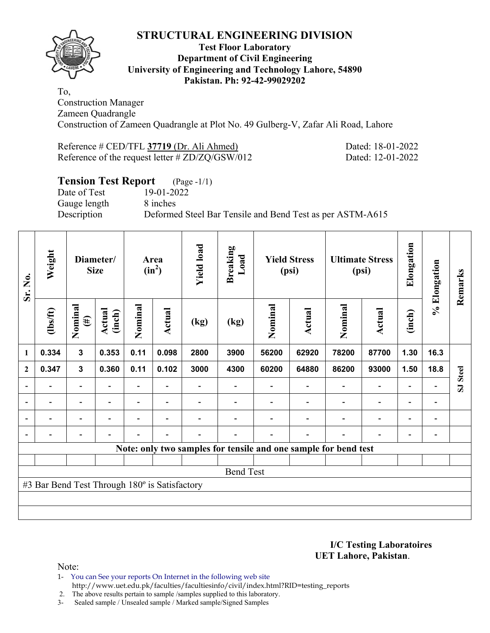

### **Test Floor Laboratory Department of Civil Engineering University of Engineering and Technology Lahore, 54890 Pakistan. Ph: 92-42-99029202**

To, Construction Manager Zameen Quadrangle Construction of Zameen Quadrangle at Plot No. 49 Gulberg-V, Zafar Ali Road, Lahore

| Reference # CED/TFL 37719 (Dr. Ali Ahmed)       |  |  |
|-------------------------------------------------|--|--|
| Reference of the request letter # ZD/ZQ/GSW/012 |  |  |

Dated: 18-01-2022 Dated: 12-01-2022

# **Tension Test Report** (Page -1/1)

Date of Test 19-01-2022 Gauge length 8 inches

Description Deformed Steel Bar Tensile and Bend Test as per ASTM-A615

| Sr. No.                  | Weight                                        |                          | Diameter/<br><b>Size</b> |                | <b>Yield load</b><br>Area<br>$(in^2)$ |                          | <b>Breaking</b><br>Load | <b>Yield Stress</b><br>(psi) |                                                                 | <b>Ultimate Stress</b><br>(psi) |                          | Elongation               | % Elongation             | Remarks  |
|--------------------------|-----------------------------------------------|--------------------------|--------------------------|----------------|---------------------------------------|--------------------------|-------------------------|------------------------------|-----------------------------------------------------------------|---------------------------------|--------------------------|--------------------------|--------------------------|----------|
|                          | $\frac{2}{10}$                                | Nominal<br>$(\#)$        | Actual<br>(inch)         | Nominal        | Actual                                | (kg)                     | (kg)                    | Nominal                      | Actual                                                          | Nominal                         | Actual                   | (inch)                   |                          |          |
| $\mathbf{1}$             | 0.334                                         | $\mathbf{3}$             | 0.353                    | 0.11           | 0.098                                 | 2800                     | 3900                    | 56200                        | 62920                                                           | 78200                           | 87700                    | 1.30                     | 16.3                     |          |
| $\overline{2}$           | 0.347                                         | $\mathbf{3}$             | 0.360                    | 0.11           | 0.102                                 | 3000                     | 4300                    | 60200                        | 64880                                                           | 86200                           | 93000                    | 1.50                     | 18.8                     |          |
|                          |                                               | $\overline{\phantom{0}}$ |                          |                |                                       |                          |                         |                              |                                                                 |                                 |                          | $\overline{\phantom{0}}$ |                          | SJ Steel |
| $\overline{\phantom{a}}$ | $\overline{\phantom{0}}$                      | $\overline{\phantom{a}}$ | $\blacksquare$           | $\blacksquare$ | $\overline{\phantom{a}}$              |                          |                         |                              | $\overline{\phantom{0}}$                                        | $\overline{\phantom{a}}$        | $\overline{\phantom{a}}$ | $\overline{\phantom{a}}$ | $\blacksquare$           |          |
|                          | $\overline{\phantom{0}}$                      | $\overline{\phantom{a}}$ |                          |                | ۰                                     |                          |                         |                              |                                                                 |                                 | $\overline{\phantom{0}}$ | $\overline{\phantom{0}}$ | $\overline{\phantom{0}}$ |          |
|                          | $\overline{\phantom{0}}$                      | $\overline{\phantom{a}}$ |                          | $\blacksquare$ | ۰                                     | $\overline{\phantom{0}}$ |                         |                              | $\blacksquare$                                                  | $\blacksquare$                  | $\overline{\phantom{0}}$ | $\overline{\phantom{0}}$ | $\blacksquare$           |          |
|                          |                                               |                          |                          |                |                                       |                          |                         |                              | Note: only two samples for tensile and one sample for bend test |                                 |                          |                          |                          |          |
|                          |                                               |                          |                          |                |                                       |                          |                         |                              |                                                                 |                                 |                          |                          |                          |          |
|                          |                                               |                          |                          |                |                                       |                          | <b>Bend Test</b>        |                              |                                                                 |                                 |                          |                          |                          |          |
|                          | #3 Bar Bend Test Through 180° is Satisfactory |                          |                          |                |                                       |                          |                         |                              |                                                                 |                                 |                          |                          |                          |          |
|                          |                                               |                          |                          |                |                                       |                          |                         |                              |                                                                 |                                 |                          |                          |                          |          |
|                          |                                               |                          |                          |                |                                       |                          |                         |                              |                                                                 |                                 |                          |                          |                          |          |

**I/C Testing Laboratoires UET Lahore, Pakistan**.

Note:

1- You can See your reports On Internet in the following web site http://www.uet.edu.pk/faculties/facultiesinfo/civil/index.html?RID=testing\_reports

2. The above results pertain to sample /samples supplied to this laboratory.

3- Sealed sample / Unsealed sample / Marked sample/Signed Samples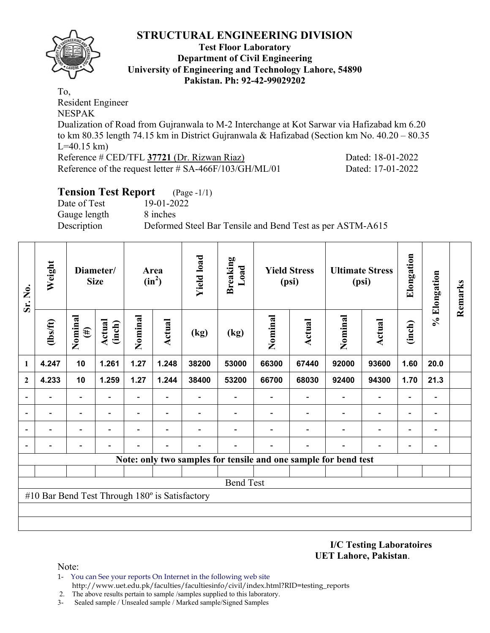

### **Test Floor Laboratory Department of Civil Engineering University of Engineering and Technology Lahore, 54890 Pakistan. Ph: 92-42-99029202**

To, Resident Engineer NESPAK Dualization of Road from Gujranwala to M-2 Interchange at Kot Sarwar via Hafizabad km 6.20 to km 80.35 length 74.15 km in District Gujranwala & Hafizabad (Section km No. 40.20 – 80.35  $L=40.15$  km) Reference # CED/TFL **37721** (Dr. Rizwan Riaz) Dated: 18-01-2022 Reference of the request letter # SA-466F/103/GH/ML/01 Dated: 17-01-2022

# **Tension Test Report** (Page -1/1)

Date of Test 19-01-2022 Gauge length 8 inches

Description Deformed Steel Bar Tensile and Bend Test as per ASTM-A615

| Sr. No.                  | Weight                                         |                   | Diameter/<br><b>Size</b> | Area<br>$(in^2)$  |                          | <b>Yield load</b> | <b>Breaking</b><br>Load | <b>Yield Stress</b><br>(psi) |                                                                 |         | <b>Ultimate Stress</b><br>(psi) | Elongation               | % Elongation                 | Remarks |
|--------------------------|------------------------------------------------|-------------------|--------------------------|-------------------|--------------------------|-------------------|-------------------------|------------------------------|-----------------------------------------------------------------|---------|---------------------------------|--------------------------|------------------------------|---------|
|                          | $lbsft$                                        | Nominal<br>$(\#)$ | Actual<br>(inch)         | Nominal           | Actual                   | (kg)              | (kg)                    | Nominal                      | <b>Actual</b>                                                   | Nominal | <b>Actual</b>                   | (inch)                   |                              |         |
| 1                        | 4.247                                          | 10                | 1.261                    | 1.27              | 1.248                    | 38200             | 53000                   | 66300                        | 67440                                                           | 92000   | 93600                           | 1.60                     | 20.0                         |         |
| $\overline{2}$           | 4.233                                          | 10                | 1.259                    | 1.27              | 1.244                    | 38400             | 53200                   | 66700                        | 68030                                                           | 92400   | 94300                           | 1.70                     | 21.3                         |         |
| $\overline{\phantom{0}}$ |                                                | Ξ.                |                          | ۰                 |                          |                   |                         |                              |                                                                 |         | $\overline{\phantom{0}}$        | $\overline{\phantom{0}}$ | $\qquad \qquad \blacksquare$ |         |
|                          |                                                | -                 |                          | $\qquad \qquad -$ | $\overline{\phantom{a}}$ |                   |                         |                              |                                                                 |         | $\overline{\phantom{a}}$        | $\overline{\phantom{0}}$ | $\overline{\phantom{0}}$     |         |
|                          |                                                |                   |                          |                   |                          |                   |                         |                              |                                                                 |         |                                 | $\overline{\phantom{0}}$ | $\overline{\phantom{0}}$     |         |
| $\overline{a}$           |                                                |                   |                          |                   |                          |                   |                         |                              |                                                                 |         |                                 |                          | $\overline{a}$               |         |
|                          |                                                |                   |                          |                   |                          |                   |                         |                              | Note: only two samples for tensile and one sample for bend test |         |                                 |                          |                              |         |
|                          |                                                |                   |                          |                   |                          |                   |                         |                              |                                                                 |         |                                 |                          |                              |         |
|                          |                                                |                   |                          |                   |                          |                   | <b>Bend Test</b>        |                              |                                                                 |         |                                 |                          |                              |         |
|                          | #10 Bar Bend Test Through 180° is Satisfactory |                   |                          |                   |                          |                   |                         |                              |                                                                 |         |                                 |                          |                              |         |
|                          |                                                |                   |                          |                   |                          |                   |                         |                              |                                                                 |         |                                 |                          |                              |         |
|                          |                                                |                   |                          |                   |                          |                   |                         |                              |                                                                 |         |                                 |                          |                              |         |

**I/C Testing Laboratoires UET Lahore, Pakistan**.

- 1- You can See your reports On Internet in the following web site http://www.uet.edu.pk/faculties/facultiesinfo/civil/index.html?RID=testing\_reports
- 2. The above results pertain to sample /samples supplied to this laboratory.
- 3- Sealed sample / Unsealed sample / Marked sample/Signed Samples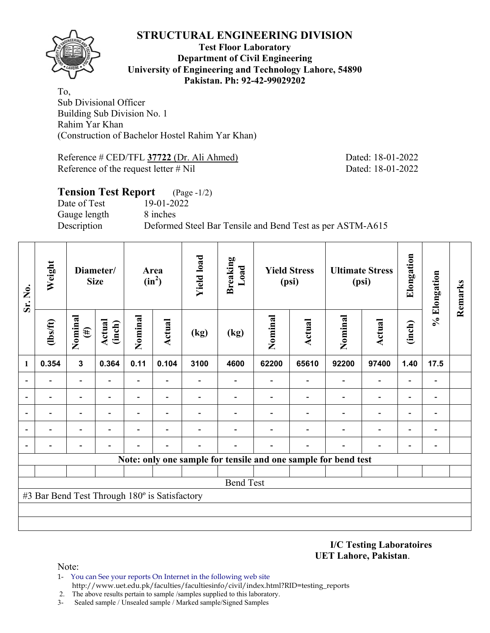

#### **Test Floor Laboratory Department of Civil Engineering University of Engineering and Technology Lahore, 54890 Pakistan. Ph: 92-42-99029202**

To, Sub Divisional Officer Building Sub Division No. 1 Rahim Yar Khan (Construction of Bachelor Hostel Rahim Yar Khan)

Reference # CED/TFL **37722** (Dr. Ali Ahmed) Dated: 18-01-2022 Reference of the request letter # Nil Dated: 18-01-2022

## **Tension Test Report** (Page -1/2) Date of Test 19-01-2022 Gauge length 8 inches Description Deformed Steel Bar Tensile and Bend Test as per ASTM-A615

| Sr. No. | Weight                                        |              | Diameter/<br><b>Size</b> | Area<br>$(in^2)$ |                | <b>Yield load</b> | <b>Breaking</b><br>Load                                        | <b>Yield Stress</b><br>(psi) |               | <b>Ultimate Stress</b><br>(psi) |                          | Elongation | % Elongation             | Remarks |
|---------|-----------------------------------------------|--------------|--------------------------|------------------|----------------|-------------------|----------------------------------------------------------------|------------------------------|---------------|---------------------------------|--------------------------|------------|--------------------------|---------|
|         | Nominal<br>$\frac{2}{10}$<br>$(\#)$           |              | <b>Actual</b><br>(inch)  | Nominal          | Actual         | (kg)              | (kg)                                                           | Nominal                      | <b>Actual</b> | Nominal                         | <b>Actual</b>            | (inch)     |                          |         |
| 1       | 0.354                                         | $\mathbf{3}$ | 0.364                    | 0.11             | 0.104          | 3100              | 4600                                                           | 62200                        | 65610         | 92200                           | 97400                    | 1.40       | 17.5                     |         |
|         |                                               |              |                          |                  |                |                   |                                                                |                              |               |                                 |                          |            |                          |         |
|         |                                               |              |                          |                  |                |                   |                                                                |                              |               |                                 |                          |            |                          |         |
|         |                                               | ۰            |                          | $\blacksquare$   |                |                   |                                                                |                              |               |                                 | $\overline{\phantom{0}}$ |            |                          |         |
|         |                                               | ۰            |                          | Ξ.               | $\blacksquare$ |                   |                                                                |                              |               |                                 | $\blacksquare$           |            |                          |         |
|         |                                               |              |                          |                  |                |                   |                                                                |                              |               |                                 |                          |            | $\overline{\phantom{0}}$ |         |
|         |                                               |              |                          |                  |                |                   | Note: only one sample for tensile and one sample for bend test |                              |               |                                 |                          |            |                          |         |
|         |                                               |              |                          |                  |                |                   |                                                                |                              |               |                                 |                          |            |                          |         |
|         |                                               |              |                          |                  |                |                   | <b>Bend Test</b>                                               |                              |               |                                 |                          |            |                          |         |
|         | #3 Bar Bend Test Through 180° is Satisfactory |              |                          |                  |                |                   |                                                                |                              |               |                                 |                          |            |                          |         |
|         |                                               |              |                          |                  |                |                   |                                                                |                              |               |                                 |                          |            |                          |         |
|         |                                               |              |                          |                  |                |                   |                                                                |                              |               |                                 |                          |            |                          |         |

**I/C Testing Laboratoires UET Lahore, Pakistan**.

- 1- You can See your reports On Internet in the following web site http://www.uet.edu.pk/faculties/facultiesinfo/civil/index.html?RID=testing\_reports
- 2. The above results pertain to sample /samples supplied to this laboratory.
- 3- Sealed sample / Unsealed sample / Marked sample/Signed Samples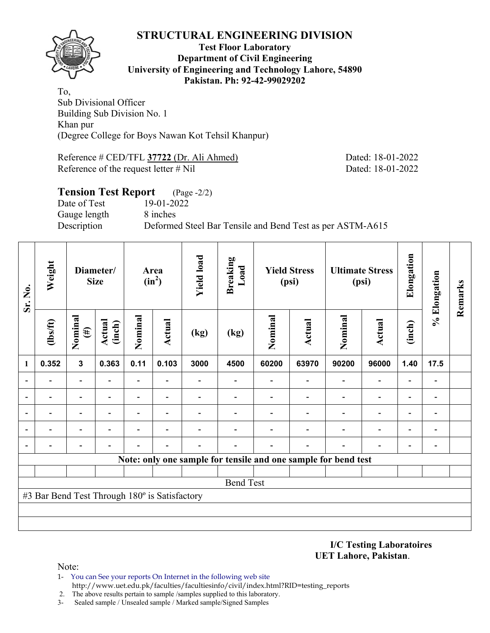

#### **Test Floor Laboratory Department of Civil Engineering University of Engineering and Technology Lahore, 54890 Pakistan. Ph: 92-42-99029202**

To, Sub Divisional Officer Building Sub Division No. 1 Khan pur (Degree College for Boys Nawan Kot Tehsil Khanpur)

Reference # CED/TFL **37722** (Dr. Ali Ahmed) Dated: 18-01-2022 Reference of the request letter # Nil Dated: 18-01-2022

## **Tension Test Report** (Page -2/2) Date of Test 19-01-2022 Gauge length 8 inches Description Deformed Steel Bar Tensile and Bend Test as per ASTM-A615

| Sr. No.      | Weight                                        | Diameter/<br><b>Size</b>              |                | Area<br>$(in^2)$ |                          | <b>Yield load</b> | <b>Breaking</b><br>Load                                        | <b>Yield Stress</b><br>(psi) |                          | <b>Ultimate Stress</b><br>(psi) |                          | Elongation               | % Elongation | Remarks |
|--------------|-----------------------------------------------|---------------------------------------|----------------|------------------|--------------------------|-------------------|----------------------------------------------------------------|------------------------------|--------------------------|---------------------------------|--------------------------|--------------------------|--------------|---------|
|              | $\frac{2}{10}$                                | Nominal<br>Actual<br>(inch)<br>$(\#)$ |                | Nominal          | Actual                   | (kg)              | (kg)                                                           | Nominal                      | <b>Actual</b>            | Nominal                         | <b>Actual</b>            | (inch)                   |              |         |
| $\mathbf{1}$ | 0.352                                         | $\mathbf{3}$                          | 0.363          | 0.11             | 0.103                    | 3000              | 4500                                                           | 60200                        | 63970                    | 90200                           | 96000                    | 1.40                     | 17.5         |         |
|              | $\blacksquare$                                | $\overline{\phantom{a}}$              | $\blacksquare$ | Ξ.               |                          |                   | $\overline{\phantom{0}}$                                       |                              | $\overline{\phantom{a}}$ | $\overline{\phantom{0}}$        | $\overline{\phantom{0}}$ |                          |              |         |
|              |                                               | $\overline{\phantom{0}}$              |                |                  |                          |                   |                                                                |                              |                          |                                 | $\overline{\phantom{0}}$ |                          |              |         |
|              |                                               | $\overline{a}$                        |                |                  |                          |                   |                                                                |                              |                          |                                 | $\overline{\phantom{0}}$ |                          |              |         |
|              |                                               | $\overline{a}$                        |                | $\overline{a}$   | $\overline{\phantom{0}}$ |                   |                                                                |                              |                          |                                 | $\overline{\phantom{0}}$ | $\overline{\phantom{0}}$ |              |         |
|              |                                               | $\overline{\phantom{0}}$              |                |                  |                          |                   |                                                                |                              |                          |                                 |                          | ۰                        |              |         |
|              |                                               |                                       |                |                  |                          |                   | Note: only one sample for tensile and one sample for bend test |                              |                          |                                 |                          |                          |              |         |
|              |                                               |                                       |                |                  |                          |                   |                                                                |                              |                          |                                 |                          |                          |              |         |
|              |                                               |                                       |                |                  |                          |                   | <b>Bend Test</b>                                               |                              |                          |                                 |                          |                          |              |         |
|              | #3 Bar Bend Test Through 180° is Satisfactory |                                       |                |                  |                          |                   |                                                                |                              |                          |                                 |                          |                          |              |         |
|              |                                               |                                       |                |                  |                          |                   |                                                                |                              |                          |                                 |                          |                          |              |         |
|              |                                               |                                       |                |                  |                          |                   |                                                                |                              |                          |                                 |                          |                          |              |         |

**I/C Testing Laboratoires UET Lahore, Pakistan**.

- 1- You can See your reports On Internet in the following web site http://www.uet.edu.pk/faculties/facultiesinfo/civil/index.html?RID=testing\_reports
- 2. The above results pertain to sample /samples supplied to this laboratory.
- 3- Sealed sample / Unsealed sample / Marked sample/Signed Samples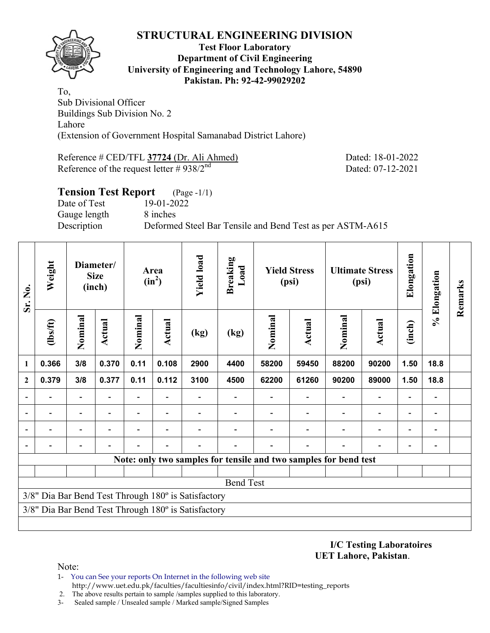

#### **Test Floor Laboratory Department of Civil Engineering University of Engineering and Technology Lahore, 54890 Pakistan. Ph: 92-42-99029202**

To, Sub Divisional Officer Buildings Sub Division No. 2 Lahore (Extension of Government Hospital Samanabad District Lahore)

Reference # CED/TFL **37724** (Dr. Ali Ahmed) Dated: 18-01-2022 Reference of the request letter  $\# 938/2^{nd}$  Dated: 07-12-2021

| <b>Tension Test Report</b> (Page -1/1) |                                                           |
|----------------------------------------|-----------------------------------------------------------|
| Date of Test                           | 19-01-2022                                                |
| Gauge length                           | 8 inches                                                  |
| Description                            | Deformed Steel Bar Tensile and Bend Test as per ASTM-A615 |
|                                        |                                                           |

| Sr. No.                                             | Weight         |                          | Diameter/<br><b>Size</b><br>(inch) |                | Area<br>$(in^2)$         | <b>Yield load</b> | <b>Breaking</b><br>Load |         | <b>Yield Stress</b><br><b>Ultimate Stress</b><br>(psi)<br>(psi) |                                                                  | Elongation               | % Elongation             | Remarks                  |  |
|-----------------------------------------------------|----------------|--------------------------|------------------------------------|----------------|--------------------------|-------------------|-------------------------|---------|-----------------------------------------------------------------|------------------------------------------------------------------|--------------------------|--------------------------|--------------------------|--|
|                                                     | (1bs/ft)       | Nominal                  | Actual                             | Nominal        | <b>Actual</b>            | (kg)              | (kg)                    | Nominal | <b>Actual</b>                                                   | Nominal                                                          | Actual                   | (inch)                   |                          |  |
| 1                                                   | 0.366          | 3/8                      | 0.370                              | 0.11           | 0.108                    | 2900              | 4400                    | 58200   | 59450                                                           | 88200                                                            | 90200                    | 1.50                     | 18.8                     |  |
| $\overline{2}$                                      | 0.379          | 3/8                      | 0.377                              | 0.11           | 0.112                    | 3100              | 4500                    | 62200   | 61260                                                           | 90200                                                            | 89000                    | 1.50                     | 18.8                     |  |
|                                                     |                | $\blacksquare$           |                                    |                |                          |                   |                         |         |                                                                 | $\overline{\phantom{0}}$                                         | $\overline{\phantom{0}}$ | $\overline{\phantom{0}}$ | $\overline{\phantom{a}}$ |  |
|                                                     | $\blacksquare$ | $\overline{\phantom{a}}$ |                                    | $\blacksquare$ | $\overline{\phantom{0}}$ |                   |                         |         |                                                                 | $\overline{\phantom{0}}$                                         | $\overline{\phantom{a}}$ | $\blacksquare$           | $\blacksquare$           |  |
|                                                     |                | -                        |                                    |                | $\overline{\phantom{0}}$ |                   |                         |         |                                                                 |                                                                  | $\qquad \qquad -$        | $\overline{a}$           | $\overline{a}$           |  |
|                                                     |                |                          |                                    |                |                          |                   |                         |         |                                                                 |                                                                  | $\overline{a}$           | $\overline{\phantom{0}}$ |                          |  |
|                                                     |                |                          |                                    |                |                          |                   |                         |         |                                                                 | Note: only two samples for tensile and two samples for bend test |                          |                          |                          |  |
|                                                     |                |                          |                                    |                |                          |                   |                         |         |                                                                 |                                                                  |                          |                          |                          |  |
|                                                     |                |                          |                                    |                |                          |                   | <b>Bend Test</b>        |         |                                                                 |                                                                  |                          |                          |                          |  |
| 3/8" Dia Bar Bend Test Through 180° is Satisfactory |                |                          |                                    |                |                          |                   |                         |         |                                                                 |                                                                  |                          |                          |                          |  |
| 3/8" Dia Bar Bend Test Through 180° is Satisfactory |                |                          |                                    |                |                          |                   |                         |         |                                                                 |                                                                  |                          |                          |                          |  |
|                                                     |                |                          |                                    |                |                          |                   |                         |         |                                                                 |                                                                  |                          |                          |                          |  |

**I/C Testing Laboratoires UET Lahore, Pakistan**.

- 1- You can See your reports On Internet in the following web site http://www.uet.edu.pk/faculties/facultiesinfo/civil/index.html?RID=testing\_reports
- 2. The above results pertain to sample /samples supplied to this laboratory.
- 3- Sealed sample / Unsealed sample / Marked sample/Signed Samples